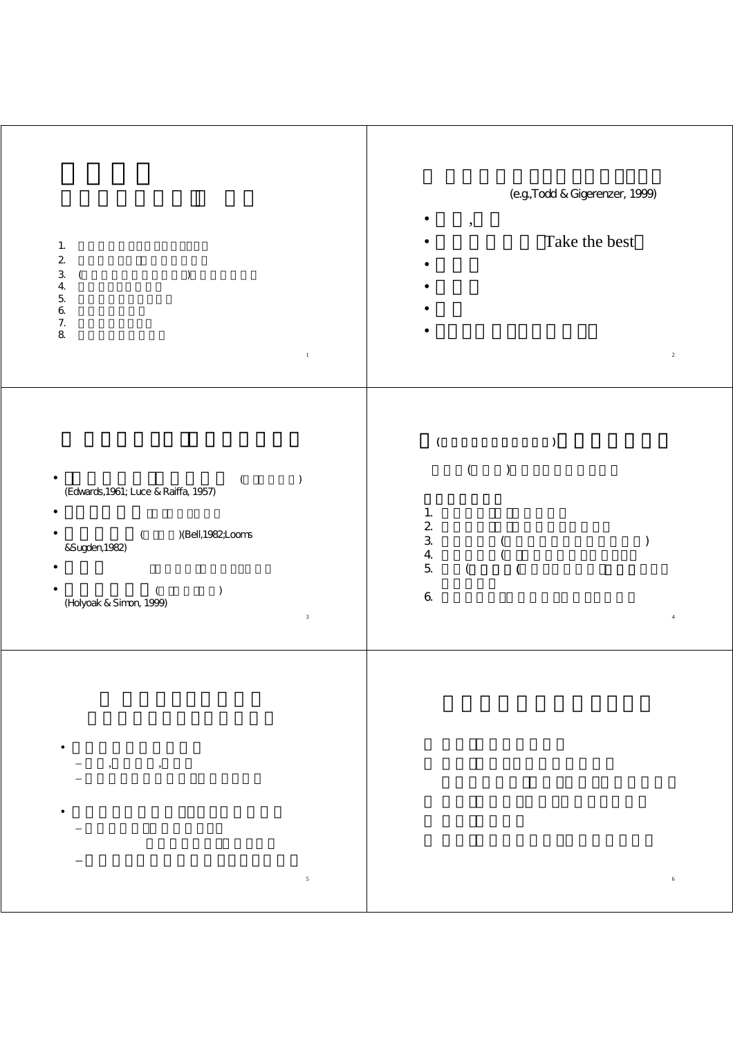| $\mathbf{1}$ .<br>$\mathbf 2$<br>$\ensuremath{\mathsf{3}}$<br>$\mathcal{C}$<br>$\overline{(\ }$<br>$\overline{4}$<br>$\mathbf 5$                                                                 | (e.g., Todd & Gigerenzer, 1999)<br>$\cdot$<br>Take the best                                                                                       |
|--------------------------------------------------------------------------------------------------------------------------------------------------------------------------------------------------|---------------------------------------------------------------------------------------------------------------------------------------------------|
| $\pmb{\mathsf{6}}$<br>$\begin{array}{c} 7. \\ 8 \end{array}$<br>$\,$ 1                                                                                                                           | $\sqrt{2}$                                                                                                                                        |
| $\mathcal{L}$<br>$\overline{\mathcal{L}}$<br>(Edwards, 1961; Luce & Raiffa, 1957)<br>)(Bell, 1982, Looms<br>$\left($<br>&Sugden, 1982)<br>$\mathcal{C}$<br>(Holyoak & Simon, 1999)<br>$\sqrt{3}$ | $\lambda$<br>(<br>$\mathcal{C}$<br>1.<br>$\overline{c}$<br>$\mathfrak{Z}$<br>4.<br>$\overline{5}$<br>$\overline{(\ }$<br>$\pmb{6}$<br>$\,$ 4 $\,$ |
| $\bullet$<br>$\sqrt{5}$                                                                                                                                                                          | $\,$ 6 $\,$                                                                                                                                       |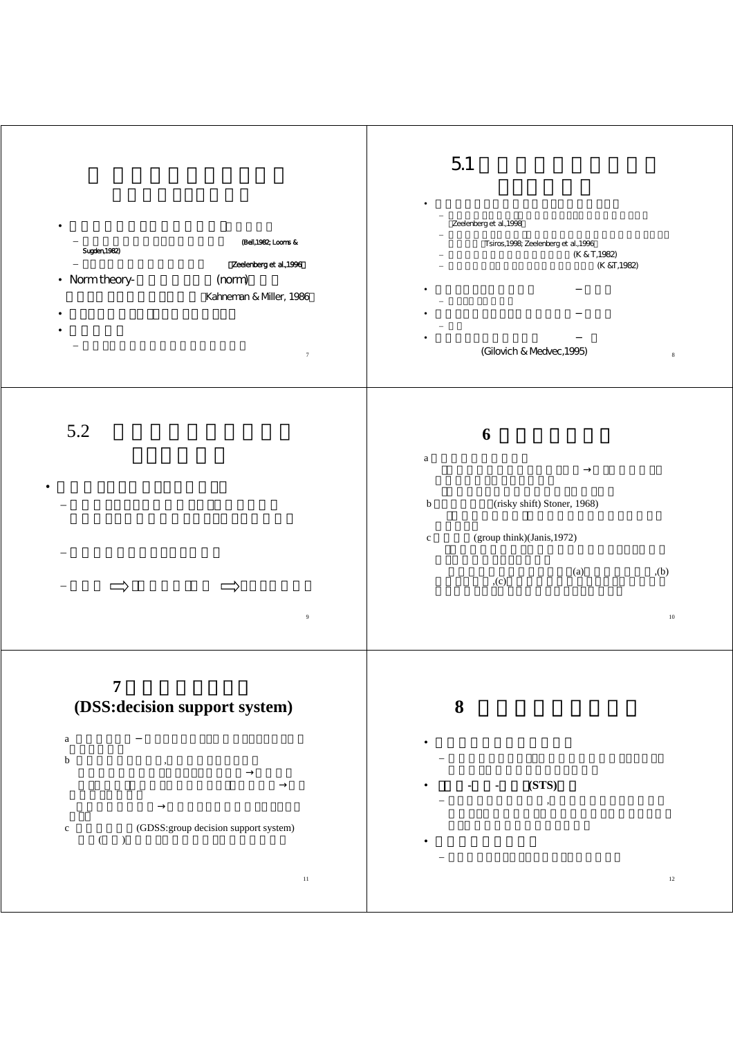